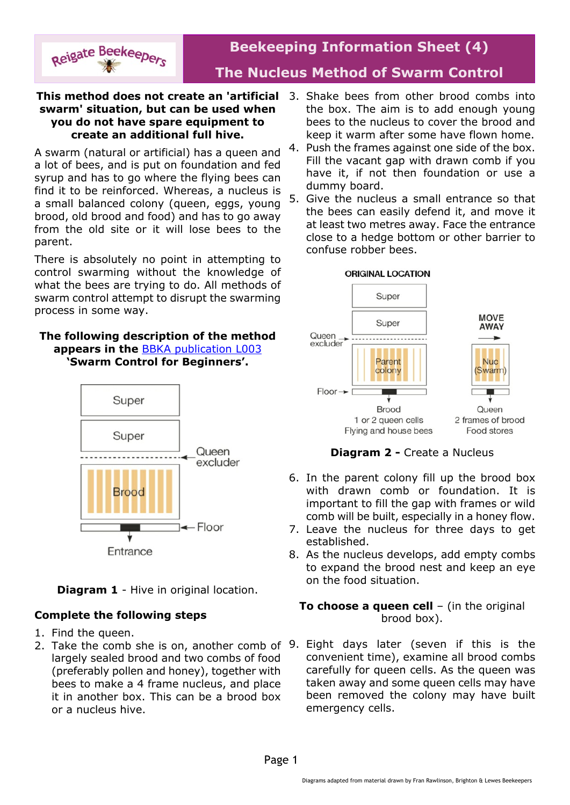

# **Beekeeping Information Sheet (4) The Nucleus Method of Swarm Control**

#### **This method does not create an 'artificial** 3. Shake bees from other brood combs into **swarm' situation, but can be used when you do not have spare equipment to create an additional full hive.**

A swarm (natural or artificial) has a queen and a lot of bees, and is put on foundation and fed syrup and has to go where the flying bees can find it to be reinforced. Whereas, a nucleus is a small balanced colony (queen, eggs, young brood, old brood and food) and has to go away from the old site or it will lose bees to the parent.

There is absolutely no point in attempting to control swarming without the knowledge of what the bees are trying to do. All methods of swarm control attempt to disrupt the swarming process in some way.

### **The following description of the method appears in the** [BBKA publication L003](http://www.bbka.org.uk/files/library/swarm_control-l003_1342859999.pdf) **'Swarm Control for Beginners'.**



**Diagram 1** - Hive in original location.

## **Complete the following steps**

- 1. Find the queen.
- 2. Take the comb she is on, another comb of 9. Eight days later (seven if this is the largely sealed brood and two combs of food (preferably pollen and honey), together with bees to make a 4 frame nucleus, and place it in another box. This can be a brood box or a nucleus hive.
- the box. The aim is to add enough young bees to the nucleus to cover the brood and keep it warm after some have flown home.
- 4. Push the frames against one side of the box. Fill the vacant gap with drawn comb if you have it, if not then foundation or use a dummy board.
- 5. Give the nucleus a small entrance so that the bees can easily defend it, and move it at least two metres away. Face the entrance close to a hedge bottom or other barrier to confuse robber bees.



**Diagram 2 -** Create a Nucleus

- 6. In the parent colony fill up the brood box with drawn comb or foundation. It is important to fill the gap with frames or wild comb will be built, especially in a honey flow.
- 7. Leave the nucleus for three days to get established.
- 8. As the nucleus develops, add empty combs to expand the brood nest and keep an eye on the food situation.

### **To choose a queen cell** – (in the original brood box).

convenient time), examine all brood combs carefully for queen cells. As the queen was taken away and some queen cells may have been removed the colony may have built emergency cells.